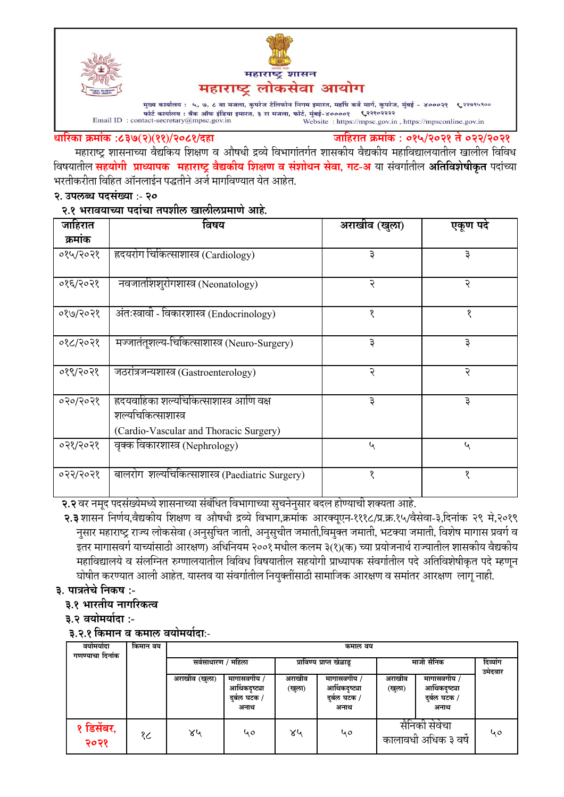



महाराष्ट्र लोकसेवा आयोग

मुख्य कार्यालय : ५, ७, ८ वा मजला, कुपरेज टेलिफोन निगम इमारत, महर्षि कर्वे मार्ग, कुपरेज, मुंबई - ४०००२१ ९२२७९५९०० फोर्ट कार्यालय: बैंक ऑफ इंडिया इमारत, ३ रा मजला, फोर्ट, मुंबई-४००००१<br>Email ID: contact-secretary@mpsc.gov.in Website: https 6,22802222 Website: https://mpsc.gov.in, https://mpsconline.gov.in

#### धारिका क्रमांक :८३७(२)(११)/२०८१/दहा

जाहिरात क्रमांक : ०१५/२०२१ ते ०२२/२०२१

महाराष्ट्र शासनाच्या वैद्यकिय शिक्षण व औषधी द्रव्ये विभागांतर्गत शासकीय वैद्यकीय महाविद्यालयातील खालील विविध विषयातील सहयोगी प्राध्यापक महाराष्ट्र वैद्यकीय शिक्षण व संशोधन सेवा, गट-अ या संवर्गातील अतिविशेषीकृत पदांच्या भरतीकरीता विहित ऑनलाईन पद्धतीने अर्ज मार्गावण्यात येत आहेत.

#### २. उपलब्ध पदसंख्या :- २०

#### २.१ भरावयाच्या पदांचा तपशील खालीलप्रमाणे आहे.

| जाहिरात  | विषय                                                                                                      | अराखीव (खुला)               | एकूण पदे     |
|----------|-----------------------------------------------------------------------------------------------------------|-----------------------------|--------------|
| क्रमांक  |                                                                                                           |                             |              |
| ०१५/२०२१ | हृदयरोग चिकित्साशास्त्र (Cardiology)                                                                      | ३                           | ३            |
| ०१६/२०२१ | नवजातशिशुरोगशास्त्र (Neonatology)                                                                         | २                           | २            |
| ०१७/२०२१ | अंतःस्त्रावी - विकारशास्त्र (Endocrinology)                                                               | १                           | १            |
| ०१८/२०२१ | मज्जातंतूशल्य-चिकित्साशास्त्र (Neuro-Surgery)                                                             | ३                           | ३            |
| ०१९/२०२१ | जठरांत्रजन्यशास्त्र (Gastroenterology)                                                                    | २                           | २            |
| ०२०/२०२१ | ह्रदयवाहिका शल्यचिकित्साशास्त्र आणि वक्ष<br>शल्यचिकित्साशास्त्र<br>(Cardio-Vascular and Thoracic Surgery) | ३                           | ३            |
| ०२१/२०२१ | वृक्क विकारशास्त्र (Nephrology)                                                                           | $\mathcal{L}_{\mathcal{A}}$ | $\mathbf{v}$ |
| ०२२/२०२१ | बालरोग शल्यचिकित्साशास्त्र (Paediatric Surgery)                                                           | १                           | १            |

२.२ वर नमूद पदसंख्येमध्ये शासनाच्या संबंधित विभागाच्या सुचनेनुसार बदल होण्याची शक्यता आहे.

२.३ शासन निर्णय,वैद्यकीय शिक्षण व औषधी द्रव्ये विभाग,क्रमांक आरक्यूएन-१११८/प्र.क्र.१५/वैसेवा-३,दिनांक २९ मे,२०१९ नुसार महाराष्ट्र राज्य लोकसेवा (अनुसुचित जाती, अनुसुचीत जमाती,विमुक्त जमाती, भटक्या जमाती, विशेष मागास प्रवर्ग व इतर मागासवर्ग याच्यांसाठी आरक्षण) अधिनियम २००१ मधील कलम ३(१)(क) च्या प्रयोजनार्थ राज्यातील शासकीय वैद्यकीय महाविद्यालये व संलग्नित रुग्णालयातील विविध विषयातील सहयोगी प्राध्यापक संवर्गातील पदे अतिविशेषीकृत पदे म्हणून घोषीत करण्यात आली आहेत. यास्तव या संवर्गातील नियुक्तींसाठी सामाजिक आरक्षण व समांतर आरक्षण लाग नाही.

## ३. पात्रतेचे निकष :-

- ३.१ भारतीय नागरिकत्व
- ३.२ वयोमर्यादा :-

## ३.२.१ किमान व कमाल वयोमर्यादा:-

| वयामयादा<br>गणण्याचा दिनांक | किमान वय | कमाल वय            |                                                      |                          |                                                     |                                            |                                                          |                     |
|-----------------------------|----------|--------------------|------------------------------------------------------|--------------------------|-----------------------------------------------------|--------------------------------------------|----------------------------------------------------------|---------------------|
|                             |          | सर्वसाधारण / महिला |                                                      | प्राविण्य प्राप्त खेळाडू |                                                     | माजी सैनिक                                 |                                                          | दिव्यांग<br>उमेदवार |
|                             |          | अराखीव (खुला)      | मागासवगीय ,<br>आर्थिकदृष्ट्या<br>दुबेल घटक /<br>अनाथ | अराखीव<br>(खुला)         | मागासवगीय /<br>आर्थिकदृष्ट्या<br>दबेल घटक /<br>अनाथ | अराखीव<br>(खुला)                           | मागासवर्गीय /<br>आर्थिकदृष्ट्या<br>दुर्बेल घटक /<br>अनाथ |                     |
| १ डिसेंबर,<br>२०२१          | १८       | ४५                 | 40                                                   | ४५                       | ५०                                                  | ź<br>सैनिको सेवेचा<br>कालावधी अधिक ३ वर्षे |                                                          | 40                  |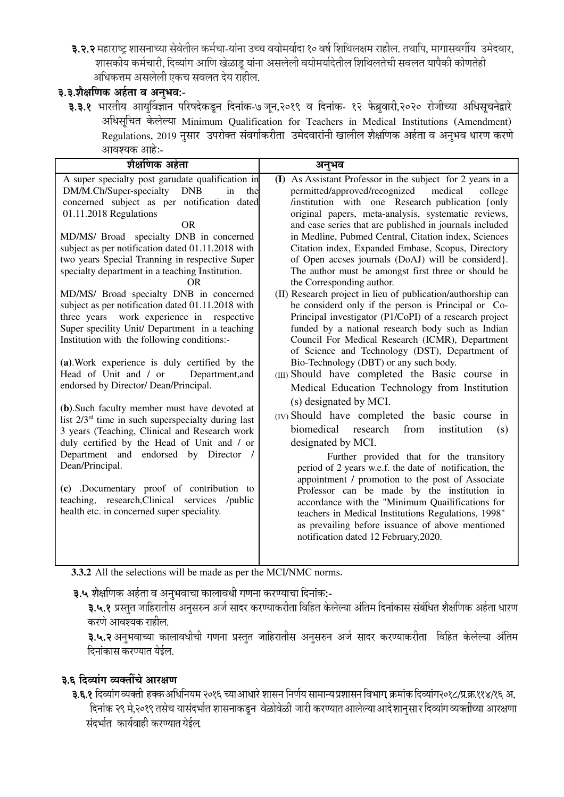३.२.२ महाराष्ट्र शासनाच्या सेवेतील कर्मचा-यांना उच्च वयोमर्यादा १० वर्ष शिथिलक्षम राहील. तथापि, मागासवर्गीय उमेदवार, शासकीय कर्मचारी, दिव्यांग आणि खेळाडू यांना असलेली वयोमर्यादेतील शिथिलतेची सवलत यापैकी कोणतेही अधिकत्तम असलेली एकच सवलत देय राहील.

## ३.३.शैक्षणिक अर्हता व अनुभव:-

३.३.१ भारतीय आयुर्विज्ञान परिषदेकडून दिनांक-७ जून,२०१९ व दिनांक- १२ फेब्रुवारी,२०२० रोजीच्या अधिसूचनेद्वारे अधिसूचित केलेल्या Minimum Qualification for Teachers in Medical Institutions (Amendment) Regulations, 2019 नुसार उपरोक्त संवर्गाकरीता उमेदवारांनी खालील शैक्षणिक अर्हता व अनुभव धारण करणे आवश्यक आहे:-

| शैक्षणिक अहंता                                                                                                                                                                                                                                                                                                                                                                                                                                                                                                                                                                                                                                                                                                                                                                                                                                                                                                                                                                                                                                                                                                                                                                                                 | अनुभव                                                                                                                                                                                                                                                                                                                                                                                                                                                                                                                                                                                                                                                                                                                                                                                                                                                                                                                                                                                                                                                                                                                                                                                                                                                                                                                                                                                                                                                                                                                                                                                                              |
|----------------------------------------------------------------------------------------------------------------------------------------------------------------------------------------------------------------------------------------------------------------------------------------------------------------------------------------------------------------------------------------------------------------------------------------------------------------------------------------------------------------------------------------------------------------------------------------------------------------------------------------------------------------------------------------------------------------------------------------------------------------------------------------------------------------------------------------------------------------------------------------------------------------------------------------------------------------------------------------------------------------------------------------------------------------------------------------------------------------------------------------------------------------------------------------------------------------|--------------------------------------------------------------------------------------------------------------------------------------------------------------------------------------------------------------------------------------------------------------------------------------------------------------------------------------------------------------------------------------------------------------------------------------------------------------------------------------------------------------------------------------------------------------------------------------------------------------------------------------------------------------------------------------------------------------------------------------------------------------------------------------------------------------------------------------------------------------------------------------------------------------------------------------------------------------------------------------------------------------------------------------------------------------------------------------------------------------------------------------------------------------------------------------------------------------------------------------------------------------------------------------------------------------------------------------------------------------------------------------------------------------------------------------------------------------------------------------------------------------------------------------------------------------------------------------------------------------------|
| A super specialty post garudate qualification in<br>DM/M.Ch/Super-specialty<br><b>DNB</b><br>in<br>the<br>concerned subject as per notification dated<br>01.11.2018 Regulations<br><b>OR</b><br>MD/MS/ Broad specialty DNB in concerned<br>subject as per notification dated 01.11.2018 with<br>two years Special Tranning in respective Super<br>specialty department in a teaching Institution.<br>OR.<br>MD/MS/ Broad specialty DNB in concerned<br>subject as per notification dated 01.11.2018 with<br>three years<br>work experience in respective<br>Super specility Unit/ Department in a teaching<br>Institution with the following conditions:-<br>(a). Work experience is duly certified by the<br>Head of Unit and / or<br>Department, and<br>endorsed by Director/ Dean/Principal.<br>(b). Such faculty member must have devoted at<br>list $2/3rd$ time in such superspecialty during last<br>3 years (Teaching, Clinical and Research work<br>duly certified by the Head of Unit and / or<br>Department and endorsed by Director<br>Dean/Principal.<br>(c) .Documentary proof of contribution to<br>teaching, research, Clinical services /public<br>health etc. in concerned super speciality. | (I) As Assistant Professor in the subject for 2 years in a<br>permitted/approved/recognized<br>medical<br>college<br>/institution with one Research publication {only<br>original papers, meta-analysis, systematic reviews,<br>and case series that are published in journals included<br>in Medline, Pubmed Central, Citation index, Sciences<br>Citation index, Expanded Embase, Scopus, Directory<br>of Open accses journals (DoAJ) will be considerd}.<br>The author must be amongst first three or should be<br>the Corresponding author.<br>(II) Research project in lieu of publication/authorship can<br>be considerd only if the person is Principal or Co-<br>Principal investigator (P1/CoPI) of a research project<br>funded by a national research body such as Indian<br>Council For Medical Research (ICMR), Department<br>of Science and Technology (DST), Department of<br>Bio-Technology (DBT) or any such body.<br>(III) Should have completed the Basic course in<br>Medical Education Technology from Institution<br>(s) designated by MCI.<br>(IV) Should have completed the basic course in<br>biomedical<br>research<br>from<br>institution<br>(s)<br>designated by MCI.<br>Further provided that for the transitory<br>period of 2 years w.e.f. the date of notification, the<br>appointment / promotion to the post of Associate<br>Professor can be made by the institution in<br>accordance with the "Minimum Quailifications for<br>teachers in Medical Institutions Regulations, 1998"<br>as prevailing before issuance of above mentioned<br>notification dated 12 February, 2020. |

3.3.2 All the selections will be made as per the MCI/NMC norms.

३.५ शैक्षणिक अर्हता व अनुभवाचा कालावधी गणना करण्याचा दिनांक:-

३.५.१ प्रस्तुत जाहिरातीस अनुसरुन अर्ज सादर करण्याकरीता विहित केलेल्या अंतिम दिनांकास संबंधित शैक्षणिक अर्हता धारण करणे आवश्यक राहील.

३.५.२ अनुभवाच्या कालावधीची गणना प्रस्तुत जाहिरातीस अनुसरुन अर्ज सादर करण्याकरीता विहित केलेल्या अंतिम दिनांकास करण्यात येईल.

## ३.६ दिव्यांग व्यक्तींचे आरक्षण

३.६.१ दिव्यांगव्यक्ती हक्कअधिनियम २०१६ च्याआधारे शासन निर्णय सामान्यप्रशासन विभाग क्रमांक दिव्यांग२०१८/प्र.क्र.११४/१६ अ, दिनांक २९ मे,२०१९ तसेच यासंदर्भात शासनाकडून वेळोवेळी जारी करण्यात आलेल्या आदेशानुसार दिव्यांग व्यक्तींच्या आरक्षणा संदर्भात कार्यवाही करण्यात येईल.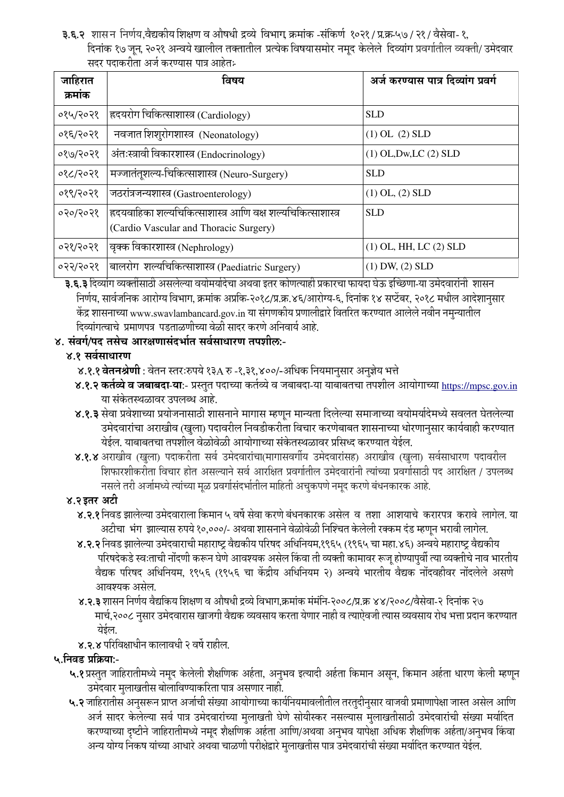३.६.२ शासन निर्णय,वैद्यकीय शिक्षण व औषधी द्रव्ये विभाग, क्रमांक -संकिर्ण १०२१ / प्र.क्र-५७ / २१ / वैसेवा- १, दिनांक १७ जून, २०२१ अन्वये खालील तक्तातील प्रत्येक विषयासमोर नमुद केलेले दिव्यांग प्रवर्गातील व्यक्ती/ उमेदवार सदर पदाकरीता अर्ज करण्यास पात्र आहेतः-

| जाहिरात  | विषय                                                                                                   | अर्ज करण्यास पात्र दिव्यांग प्रवर्ग |  |
|----------|--------------------------------------------------------------------------------------------------------|-------------------------------------|--|
| क्रमांक  |                                                                                                        |                                     |  |
| ०१५/२०२१ | ह्रदयरोग चिकित्साशास्त्र (Cardiology)                                                                  | <b>SLD</b>                          |  |
| ०१६/२०२१ | नवजात शिशुरोगशास्त्र (Neonatology)                                                                     | $(1)$ OL $(2)$ SLD                  |  |
| ०१७/२०२१ | अंतःस्त्रावी विकारशास्त्र (Endocrinology)                                                              | $(1)$ OL, Dw, LC $(2)$ SLD          |  |
| ०१८/२०२१ | मज्जातंतूशल्य-चिकित्साशास्त्र (Neuro-Surgery)                                                          | <b>SLD</b>                          |  |
| ०१९/२०२१ | जठरांत्रजन्यशास्त्र (Gastroenterology)                                                                 | $(1)$ OL, $(2)$ SLD                 |  |
| ०२०/२०२१ | ह्रदयवाहिका शल्यचिकित्साशास्त्र आणि वक्ष शल्यचिकित्साशास्त्र<br>(Cardio Vascular and Thoracic Surgery) | <b>SLD</b>                          |  |
| ०२१/२०२१ | वृक्क विकारशास्त्र (Nephrology)                                                                        | $(1)$ OL, HH, LC $(2)$ SLD          |  |
| ०२२/२०२१ | बालरोग शल्यचिकित्साशास्त्र (Paediatric Surgery)                                                        | $(1)$ DW, $(2)$ SLD                 |  |

**३.६.३** दिव्यांग व्यक्तींसाठी असलेल्या वयोमर्यादेचा अथवा इतर कोणत्याही प्रकारचा फायदा घेऊ इच्छिणा-या उमेदवारांनी शासन निर्णय, सार्वजनिक आरोग्य विभाग, क्रमांक अप्रकि-२०१८/प्र.क्र.४६/आरोग्य-६, दिनांक १४ सप्टेंबर, २०१८ मधील आदेशानुसार केंद्र शासनाच्या www.swavlambancard.gov.in या संगणकीय प्रणालीद्वारे वितरित करण्यात आलेले नवीन नमन्यातील दिव्यांगत्वाचे प्रमाणपत्र पडताळणीच्या वेळी सादर करणे अनिवार्य आहे.

## ४. संवर्ग/पद तसेच आरक्षणासंदर्भात सर्वसाधारण तपशील:-

## ४.१ सर्वसाधारण

- ४.१.१ वेतनश्रेणी : वेतन स्तरःरुपये १३A रु -१,३१,४००/-अधिक नियमानुसार अनुज्ञेय भत्ते
- ४.१.२ कर्तव्ये व जबाबदा-या:- प्रस्तुत पदाच्या कर्तव्ये व जबाबदा-या याबाबतचा तपशील आयोगाच्या https://mpsc.gov.in या संकेतस्थळावर उपलब्ध आहे.
- ४.१.३ सेवा प्रवेशाच्या प्रयोजनासाठी शासनाने मागास म्हणून मान्यता दिलेल्या समाजाच्या वयोमर्यादेमध्ये सवलत घेतलेल्या उमेदवारांचा अराखीव (खुला) पदावरील निवडीकरीता विचार करणेबाबत शासनाच्या धोरणानुसार कार्यवाही करण्यात येईल. याबाबतचा तपशील वेळोवेळी आयोगाच्या संकेतस्थळावर प्रसिध्द करण्यात येईल.
- ४.१.४ अराखीव (खुला) पदाकरीता सर्व उमेदवारांचा(मागासवर्गीय उमेदवारांसह) अराखीव (खुला) सर्वसाधारण पदावरील शिफारशीकरीता विचार होत असल्याने सर्व आरक्षित प्रवर्गातील उमेदवारांनी त्यांच्या प्रवर्गासाठी पद आरक्षित / उपलब्ध नसले तरी अर्जामध्ये त्यांच्या मळ प्रवर्गासंदर्भातील माहिती अचकपणे नमद करणे बंधनकारक आहे.

## ४.२ इतर अटी

- ४.२.१ निवड झालेल्या उमेदवाराला किमान ५ वर्षे सेवा करणे बंधनकारक असेल व तशा आशयाचे करारपत्र करावे लागेल. या अटीचा भंग झाल्यास रुपये १०,०००/- अथवा शासनाने वेळोवेळी निश्चित केलेली रक्कम दंड म्हणून भरावी लागेल.
- ४.२.२ निवड झालेल्या उमेदवाराची महाराष्ट्र वैद्यकीय परिषद अधिनियम,१९६५ (१९६५ चा महा.४६) अन्वये महाराष्ट्र वैद्यकीय परिषदेकडे स्वःताची नोंदणी करून घेणे आवश्यक असेल किंवा ती व्यक्ती कामावर रूज होण्यापूर्वी त्या व्यक्तीचे नाव भारतीय वैद्यक परिषद अधिनियम, १९५६ (१९५६ चा केंद्रीय अधिनियम २) अन्वये भारतीय वैद्यक नोंदवहीवर नोंदलेले असणे आवश्यक असेल.
- ४.२.३ शासन निर्णय वैद्यकिय शिक्षण व औषधी द्रव्ये विभाग,क्रमांक मंमंनि-२००८/प्र.क्र ४४/२००८/वैसेवा-२ दिनांक २७ मार्च,२००८ नुसार उमेदवारास खाजगी वैद्यक व्यवसाय करता येणार नाही व त्याऐवजी त्यास व्यवसाय रोध भत्ता प्रदान करण्यात येईल
- ४.२.४ परिविक्षाधीन कालावधी २ वर्षे राहील.

## ५.निवड प्रक्रिया:-

- ५.१ प्रस्तुत जाहिरातीमध्ये नमूद केलेली शैक्षणिक अर्हता, अनुभव इत्यादी अर्हता किमान असून, किमान अर्हता धारण केली म्हणून उमेदवार मुलाखतीस बोलाविण्याकरिता पात्र असणार नाही.
- ५.२ जाहिरातीस अनुसरून प्राप्त अर्जाची संख्या आयोगाच्या कार्यनियमावलीतील तरतुदीनुसार वाजवी प्रमाणापेक्षा जास्त असेल आणि अर्ज सादर केलेल्या सर्व पात्र उमेदवारांच्या मुलाखती घेणे सोयीस्कर नसल्यास मुलाखतीसाठी उमेदवारांची संख्या मर्यादित करण्याच्या दृष्टीने जाहिरातीमध्ये नमुद शैक्षणिक अर्हता आणि/अथवा अनुभव यापेक्षा अधिक शैक्षणिक अर्हता/अनुभव किंवा अन्य योग्य निकष यांच्या आधारे अथवा चाळणी परीक्षेद्वारे मुलाखतीस पात्र उमेदवारांची संख्या मर्यादित करण्यात येईल.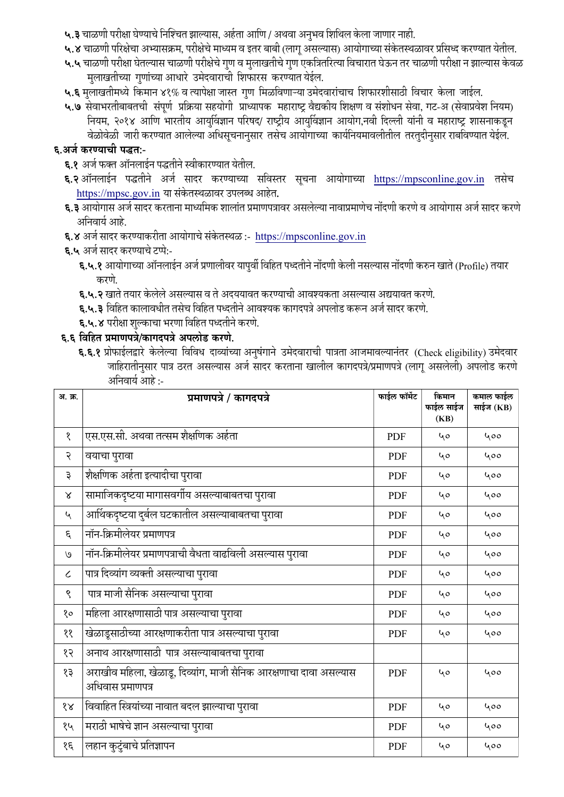- ५.३ चाळणी परीक्षा घेण्याचे निश्चित झाल्यास, अर्हता आणि / अथवा अनुभव शिथिल केला जाणार नाही.
- ५.४ चाळणी परिक्षेचा अभ्यासक्रम, परीक्षेचे माध्यम व इतर बाबी (लागु असल्यास) आयोगाच्या संकेतस्थळावर प्रसिध्द करण्यात येतील.
- ५.५ चाळणी परीक्षा घेतल्यास चाळणी परीक्षेचे गुण व मुलाखतीचे गुण एकत्रितरित्या विचारात घेऊन तर चाळणी परीक्षा न झाल्यास केवळ मुलाखतीच्या गुणांच्या आधारे उमेदवाराची शिफारस करण्यात येईल.
- ५.६ मुलाखतीमध्ये किमान ४१% व त्यापेक्षा जास्त गुण मिळविणाऱ्या उमेदवारांचाच शिफारशीसाठी विचार केला जाईल.
- ५.७ सेवाभरतीबाबतची संपूर्ण प्रक्रिया सहयोगी प्राध्यापक महाराष्ट्र वैद्यकीय शिक्षण व संशोधन सेवा, गट-अ (सेवाप्रवेश नियम) नियम, २०१४ आणि भारतीय आयुर्विज्ञान परिषद/ राष्ट्रीय आयुर्विज्ञान आयोग,नवी दिल्ली यांनी व महाराष्ट्र शासनाकडून वेळोवेळी जारी करण्यात आलेल्या अधिसुचनानुसार तसेच आयोगाच्या कार्यनियमावलीतील तरतुदीनुसार राबविण्यात येईल.

#### ६.अर्ज करण्याची पद्धत:-

- ६.१ अर्ज फक्त ऑनलाईन पद्धतीने स्वीकारण्यात येतील.
- ६.२ ऑनलाईन पद्धतीने अर्ज सादर करण्याच्या सविस्तर सूचना आयोगाच्या https://mpsconline.gov.in तसेच https://mpsc.gov.in या संकेतस्थळावर उपलब्ध आहेत.
- **६.३** आयोगास अर्ज सादर करताना माध्यमिक शालांत प्रमाणपत्रावर असलेल्या नावाप्रमाणेच नोंदणी करणे व आयोगास अर्ज सादर करणे अनिवार्य आहे.
- ६.४ अर्ज सादर करण्याकरीता आयोगाचे संकेतस्थळ :- https://mpsconline.gov.in
- ६.५ अर्ज सादर करण्याचे टप्पे:-
	- ६.५.१ आयोगाच्या ऑनलाईन अर्ज प्रणालीवर यापुर्वी विहित पध्दतीने नोंदणी केली नसल्यास नोंदणी करुन खाते (Profile) तयार करणे.
	- ६.५.२ खाते तयार केलेले असल्यास व ते अदययावत करण्याची आवश्यकता असल्यास अद्ययावत करणे.
	- ६.५.३ विहित कालावधीत तसेच विहित पध्दतीने आवश्यक कागदपत्रे अपलोड करून अर्ज सादर करणे.
	- **६.५.४** परीक्षा शुल्काचा भरणा विहित पध्दतीने करणे.

#### ६.६ विहित प्रमाणपत्रे/कागदपत्रे अपलोड करणे.

६.६.१ प्रोफाईलद्वारे केलेल्या विविध दाव्यांच्या अनुषंगाने उमेदवाराची पात्रता आजमावल्यानंतर (Check eligibility) उमेदवार जाहिरातीनुसार पात्र ठरत असल्यास अर्ज सादर करताना खालील कागदपत्रे/प्रमाणपत्रे (लागू असलेली) अपलोड करणे अनिवार्य आहे<sup>.</sup>-

| अ. क्र.              | प्रमाणपत्रे / कागदपत्रे                                                                | फाईल फॉर्मेट | किमान<br>फाईल साईज<br>(KB) | कमाल फाईल<br>साईज (KB) |
|----------------------|----------------------------------------------------------------------------------------|--------------|----------------------------|------------------------|
| १                    | एस.एस.सी. अथवा तत्सम शैक्षणिक अर्हता                                                   | <b>PDF</b>   | ५०                         | 400                    |
| २                    | वयाचा पुरावा                                                                           | <b>PDF</b>   | 40                         | 400                    |
| ३                    | शैक्षणिक अर्हता इत्यादीचा पुरावा                                                       | <b>PDF</b>   | 40                         | 400                    |
| $\propto$            | सामाजिकदृष्टया मागासवर्गीय असल्याबाबतचा पुरावा                                         | <b>PDF</b>   | 40                         | 400                    |
| ५                    | आर्थिकदृष्टया दुर्बल घटकातील असल्याबाबतचा पुरावा                                       | <b>PDF</b>   | 40                         | 400                    |
| $\mathcal{E}$        | नॉन-क्रिमीलेयर प्रमाणपत्र                                                              | <b>PDF</b>   | 40                         | 400                    |
| $\mathcal{O}$        | नॉन-क्रिमीलेयर प्रमाणपत्राची वैधता वाढविली असल्यास पुरावा                              | <b>PDF</b>   | 40                         | 400                    |
| $\epsilon$           | पात्र दिव्यांग व्यक्ती असल्याचा पुरावा                                                 | <b>PDF</b>   | 40                         | 400                    |
| ९                    | पात्र माजी सैनिक असल्याचा पुरावा                                                       | <b>PDF</b>   | 40                         | 400                    |
| १०                   | महिला आरक्षणासाठी पात्र असल्याचा पुरावा                                                | <b>PDF</b>   | ५०                         | 400                    |
| $\gamma$             | खेळाडूसाठीच्या आरक्षणाकरीता पात्र असल्याचा पुरावा                                      | <b>PDF</b>   | 40                         | 400                    |
| १२                   | अनाथ आरक्षणासाठी पात्र असल्याबाबतचा पुरावा                                             |              |                            |                        |
| १३                   | अराखीव महिला, खेळाडू, दिव्यांग, माजी सैनिक आरक्षणाचा दावा असल्यास<br>अधिवास प्रमाणपत्र | <b>PDF</b>   | 40                         | 400                    |
| $\delta \mathcal{R}$ | विवाहित स्त्रियांच्या नावात बदल झाल्याचा पुरावा                                        | <b>PDF</b>   | 40                         | 400                    |
| १५                   | मराठी भाषेचे ज्ञान असल्याचा पुरावा                                                     | <b>PDF</b>   | ५०                         | 400                    |
| १६                   | लहान कुटुंबाचे प्रतिज्ञापन                                                             | <b>PDF</b>   | ५०                         | 400                    |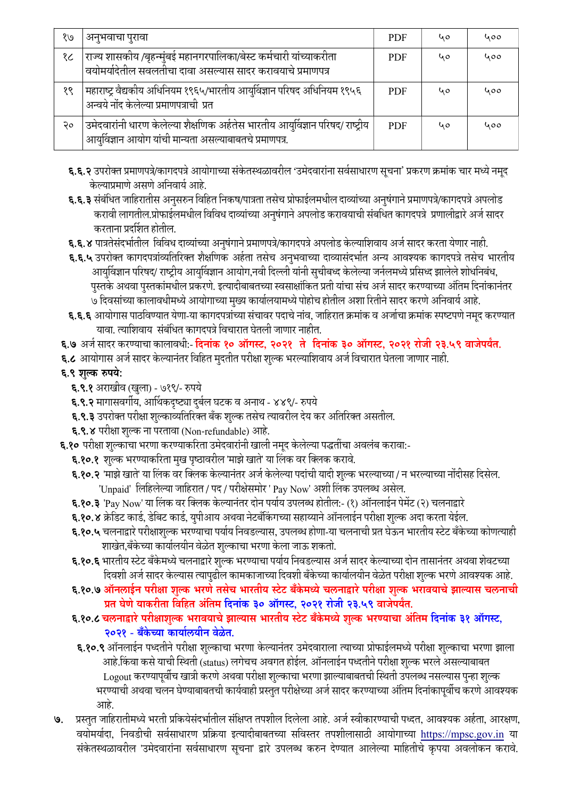| १७ | अनुभवाचा पुरावा                                                                 | <b>PDF</b> | ५० | 400 |
|----|---------------------------------------------------------------------------------|------------|----|-----|
| १८ | राज्य शासकीय /बृहन्मुंबई महानगरपालिका/बेस्ट कर्मचारी यांच्याकरीता               | <b>PDF</b> | ५० | 400 |
|    | वयोमर्यादेतील सवलतीचा दावा असल्यास सादर करावयाचे प्रमाणपत्र                     |            |    |     |
| १९ | महाराष्ट्र वैद्यकीय अधिनियम १९६५/भारतीय आयुर्विज्ञान परिषद अधिनियम १९५६         | <b>PDF</b> | ५० | 400 |
|    | अन्वये नोंद केलेल्या प्रमाणपत्राची प्रत                                         |            |    |     |
| २० | उमेदवारांनी धारण केलेल्या शैक्षणिक अर्हतेस भारतीय आयुर्विज्ञान परिषद/ राष्ट्रीय | <b>PDF</b> | 40 | 400 |
|    | आयुर्विज्ञान आयोग यांची मान्यता असल्याबाबतचे प्रमाणपत्र.                        |            |    |     |

- **६.६.२** उपरोक्त प्रमाणपत्रे/कागदपत्रे आयोगाच्या संकेतस्थळावरील 'उमेदवारांना सर्वसाधारण सूचना' प्रकरण क्रमांक चार मध्ये नमूद केल्याप्रमाणे असणे अनिवार्य आहे.
- ६.६.३ संबंधित जाहिरातीस अनुसरुन विहित निकष/पात्रता तसेच प्रोफाईलमधील दाव्यांच्या अनुषंगाने प्रमाणपत्रे/कागदपत्रे अपलोड करावी लागतील.प्रोफाईलमधील विविध दाव्यांच्या अनुषंगाने अपलोड करावयाची संबधित कागदपत्रे प्रणालीद्वारे अर्ज सादर करताना प्रदर्शित होतील.
- ६.६.४ पात्रतेसंदर्भातील विविध दाव्यांच्या अनुषंगाने प्रमाणपत्रे/कागदपत्रे अपलोड केल्याशिवाय अर्ज सादर करता येणार नाही.
- **६.६.५** उपरोक्त कागदपत्रांव्यतिरिक्त शैक्षणिक अर्हता तसेच अनुभवाच्या दाव्यासंदर्भात अन्य आवश्यक कागदपत्रे तसेच भारतीय आयुर्विज्ञान परिषद/ राष्ट्रीय आयुर्विज्ञान आयोग,नवी दिल्ली यांनी सुचीबध्द केलेल्या जर्नलमध्ये प्रसिध्द झालेले शोधनिबंध, पुस्तके अथवा पुस्तकांमधील प्रकरणे. इत्यादीबाबतच्या स्वसाक्षांकित प्रती यांचा संच अर्ज सादर करण्याच्या अंतिम दिनांकानंतर ७ दिवसांच्या कालावधीमध्ये आयोगाच्या मुख्य कार्यालयामध्ये पोहोच होतील अशा रितीने सादर करणे अनिवार्य आहे.
- **६.६.६** आयोगास पाठविण्यात येणा-या कागदपत्रांच्या संचावर पदाचे नांव, जाहिरात क्रमांक व अर्जाचा क्रमांक स्पष्टपणे नमूद करण्यात यावा. त्याशिवाय संबंधित कागदपत्रे विचारात घेतली जाणार नाहीत.
- ६.७ अर्ज सादर करण्याचा कालावधी:- दिनांक १० ऑगस्ट, २०२१ ते दिनांक ३० ऑगस्ट, २०२१ रोजी २३.५९ वाजेपयेंत.
- ६.८ आयोगास अर्ज सादर केल्यानंतर विहित मुदतीत परीक्षा शुल्क भरल्याशिवाय अर्ज विचारात घेतला जाणार नाही.

## ६.९ शुल्क रुपये:

- ६.९.१ अराखीव (खुला) ७१९/- रुपये
- ६.९.२ मागासवर्गीय, आर्थिकदृष्ट्या दुर्बल घटक व अनाथ ४४९/- रुपये
- **६.९.३** उपरोक्त परीक्षा शुल्काव्यतिरिक्त बँक शुल्क तसेच त्यावरील देय कर अतिरिक्त असतील.
- **६.९.४** परीक्षा शुल्क ना परतावा (Non-refundable) आहे.
- ६.१० परीक्षा शुल्काचा भरणा करण्याकरिता उमेदवारांनी खाली नमूद केलेल्या पद्धतींचा अवलंब करावा:-
	- ६.१०.१ शुल्क भरण्याकरिता मुख पृष्ठावरील 'माझे खाते' या लिंक वर क्लिक करावे.
	- ६.१०.२ 'माझे खाते' या लिंक वर क्लिक केल्यानंतर अर्ज केलेल्या पदांची यादी शुल्क भरल्याच्या / न भरल्याच्या नोंदीसह दिसेल. 'Unpaid' लिहिलेल्या जाहिरात / पद / परीक्षेसमोर ' Pay Now' अशी लिंक उपलब्ध असेल.
	- **६.१०.३** 'Pay Now' या लिंक वर क्लिक केल्यानंतर दोन पर्याय उपलब्ध होतील:- (१) ऑनलाईन पेमेंट (२) चलनाद्वारे
	- **६.१०.४** क्रेडिट कार्ड, डेबिट कार्ड, युपीआय अथवा नेटबँकिंगच्या सहाय्याने ऑनलाईन परीक्षा शुल्क अदा करता येईल.
	- **६.१०.५** चलनाद्वारे परीक्षाशुल्क भरण्याचा पर्याय निवडल्यास, उपलब्ध होणा-या चलनाची प्रत घेऊन भारतीय स्टेट बँकेच्या कोणत्याही शाखेत,बँकेच्या कार्यालयीन वेळेत शुल्काचा भरणा केला जाऊ शकतो.
	- **६.१०.६** भारतीय स्टेट बँकेमध्ये चलनाद्वारे शुल्क भरण्याचा पर्याय निवडल्यास अर्ज सादर केल्याच्या दोन तासानंतर अथवा शेवटच्या दिवशी अर्ज सादर केल्यास त्यापुढील कामकाजाच्या दिवशी बँकेच्या कार्यालयीन वेळेत परीक्षा शुल्क भरणे आवश्यक आहे.
	- ६.१०.७ ऑनलाईन परीक्षा शुल्क भरणे तसेच भारतीय स्टेट बँकेमध्ये चलनाद्वारे परीक्षा शुल्क भरावयाचे झाल्यास चलनाची प्रत घेणे याकरीता विहित अंतिम दिनांक ३० ऑगस्ट, २०२१ रोजी २३.५९ वाजेपर्यंत.
	- ६.१०.८ चलनाद्वारे परीक्षाशुल्क भरावयाचे झाल्यास भारतीय स्टेट बँकेमध्ये शुल्क भरण्याचा अंतिम दिनांक ३१ ऑगस्ट, २०२१ - बँकेच्या कार्यालयीन वेळेत.
	- **६.१०.९** ऑनलाईन पध्दतीने परीक्षा शुल्काचा भरणा केल्यानंतर उमेदवाराला त्याच्या प्रोफाईलमध्ये परीक्षा शुल्काचा भरणा झाला आहे.किंवा कसे याची स्थिती (status) लगेचच अवगत होईल. ऑनलाईन पध्दतीने परीक्षा शुल्क भरले असल्याबाबत Logout करण्यापूर्वीच खात्री करणे अथवा परीक्षा शुल्काचा भरणा झाल्याबाबतची स्थिती उपलब्ध नसल्यास पुन्हा शुल्क भरण्याची अथवा चलन घेण्याबाबतची कार्यवाही प्रस्तुत परीक्षेच्या अर्ज सादर करण्याच्या अंतिम दिनांकापूर्वीच करणे आवश्यक आहे.
- प्रस्तुत जाहिरातीमध्ये भरती प्रकियेसंदर्भातील संक्षिप्त तपशील दिलेला आहे. अर्ज स्वीकारण्याची पध्दत, आवश्यक अर्हता, आरक्षण, ७. वयोमर्यादा, निवडीची सर्वसाधारण प्रक्रिया इत्यादीबाबतच्या सविस्तर तपशीलासाठी आयोगाच्या https://mpsc.gov.in या संकेतस्थळावरील 'उमेदवारांना सर्वसाधारण सूचना' द्वारे उपलब्ध करुन देण्यात आलेल्या माहितीचे कृपया अवलोकन करावे.